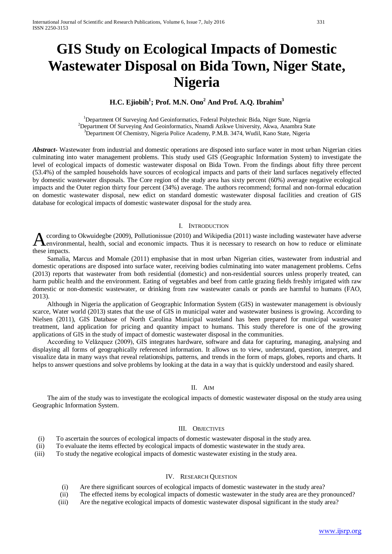# **GIS Study on Ecological Impacts of Domestic Wastewater Disposal on Bida Town, Niger State, Nigeria**

## **H.C. Ejiobih1 ; Prof. M.N. Ono2 And Prof. A.Q. Ibrahim3**

<sup>1</sup>Department Of Surveying And Geoinformatics, Federal Polytechnic Bida, Niger State, Nigeria<br><sup>2</sup>Department Of Surveying And Geoinformatics, Nuameli Azikusa University, Akusa Anambre Sta <sup>2</sup>Department Of Surveying And Geoinformatics, Nnamdi Azikwe University, Akwa, Anambra State <sup>3</sup>Department Of Chemistry, Nigeria Police Academy, P.M.B. 3474, Wudil, Kano State, Nigeria

*Abstract***-** Wastewater from industrial and domestic operations are disposed into surface water in most urban Nigerian cities culminating into water management problems. This study used GIS (Geographic Information System) to investigate the level of ecological impacts of domestic wastewater disposal on Bida Town. From the findings about fifty three percent (53.4%) of the sampled households have sources of ecological impacts and parts of their land surfaces negatively effected by domestic wastewater disposals. The Core region of the study area has sixty percent (60%) average negative ecological impacts and the Outer region thirty four percent (34%) average. The authors recommend; formal and non-formal education on domestic wastewater disposal, new edict on standard domestic wastewater disposal facilities and creation of GIS database for ecological impacts of domestic wastewater disposal for the study area.

#### I. INTRODUCTION

ccording to Okwuidegbe (2009), Pollutionissue (2010) and Wikipedia (2011) waste including wastewater have adverse environmental, health, social and economic impacts. Thus it is necessary to research on how to reduce or eliminate  $A<sub>environ</sub><sub>these impacts.</sub>$ 

 Samalia, Marcus and Momale (2011) emphasise that in most urban Nigerian cities, wastewater from industrial and domestic operations are disposed into surface water, receiving bodies culminating into water management problems. Cefns (2013) reports that wastewater from both residential (domestic) and non-residential sources unless properly treated, can harm public health and the environment. Eating of vegetables and beef from cattle grazing fields freshly irrigated with raw domestic or non-domestic wastewater, or drinking from raw wastewater canals or ponds are harmful to humans (FAO, 2013).

 Although in Nigeria the application of Geographic Information System (GIS) in wastewater management is obviously scarce, Water world (2013) states that the use of GIS in municipal water and wastewater business is growing. According to Nielsen (2011), GIS Database of North Carolina Municipal wasteland has been prepared for municipal wastewater treatment, land application for pricing and quantity impact to humans. This study therefore is one of the growing applications of GIS in the study of impact of domestic wastewater disposal in the communities.

 According to Velăzquez (2009), GIS integrates hardware, software and data for capturing, managing, analysing and displaying all forms of geographically referenced information. It allows us to view, understand, question, interpret, and visualize data in many ways that reveal relationships, patterns, and trends in the form of maps, globes, reports and charts. It helps to answer questions and solve problems by looking at the data in a way that is quickly understood and easily shared.

### II. AIM

 The aim of the study was to investigate the ecological impacts of domestic wastewater disposal on the study area using Geographic Information System.

#### III. OBJECTIVES

- (i) To ascertain the sources of ecological impacts of domestic wastewater disposal in the study area.
- (ii) To evaluate the items effected by ecological impacts of domestic wastewater in the study area.
- (iii) To study the negative ecological impacts of domestic wastewater existing in the study area.

#### IV. RESEARCH QUESTION

- (i) Are there significant sources of ecological impacts of domestic wastewater in the study area?
- (ii) The effected items by ecological impacts of domestic wastewater in the study area are they pronounced?
- (iii) Are the negative ecological impacts of domestic wastewater disposal significant in the study area?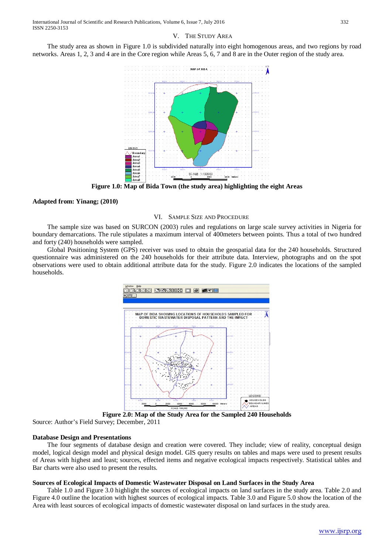## V. THE STUDY AREA

 The study area as shown in Figure 1.0 is subdivided naturally into eight homogenous areas, and two regions by road networks. Areas 1, 2, 3 and 4 are in the Core region while Areas 5, 6, 7 and 8 are in the Outer region of the study area.



**Figure 1.0: Map of Bida Town (the study area) highlighting the eight Areas**

#### **Adapted from: Yinang; (2010)**

#### VI. SAMPLE SIZE AND PROCEDURE

 The sample size was based on SURCON (2003) rules and regulations on large scale survey activities in Nigeria for boundary demarcations. The rule stipulates a maximum interval of 400meters between points. Thus a total of two hundred and forty (240) households were sampled.

 Global Positioning System (GPS) receiver was used to obtain the geospatial data for the 240 households. Structured questionnaire was administered on the 240 households for their attribute data. Interview, photographs and on the spot observations were used to obtain additional attribute data for the study. Figure 2.0 indicates the locations of the sampled households.



**Figure 2.0: Map of the Study Area for the Sampled 240 Households**

Source: Author's Field Survey; December, 2011

### **Database Design and Presentations**

 The four segments of database design and creation were covered. They include; view of reality, conceptual design model, logical design model and physical design model. GIS query results on tables and maps were used to present results of Areas with highest and least; sources, effected items and negative ecological impacts respectively. Statistical tables and Bar charts were also used to present the results.

### **Sources of Ecological Impacts of Domestic Wastewater Disposal on Land Surfaces in the Study Area**

 Table 1.0 and Figure 3.0 highlight the sources of ecological impacts on land surfaces in the study area. Table 2.0 and Figure 4.0 outline the location with highest sources of ecological impacts. Table 3.0 and Figure 5.0 show the location of the Area with least sources of ecological impacts of domestic wastewater disposal on land surfaces in the study area.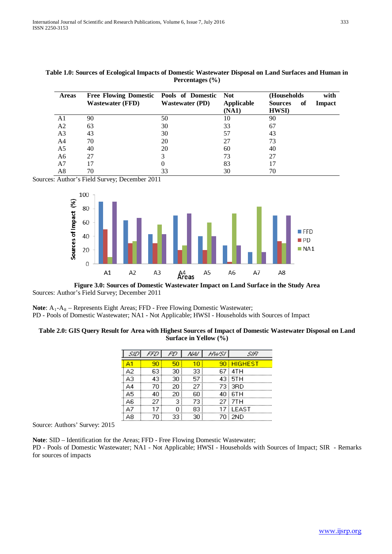| <b>Areas</b>   | Free Flowing Domestic Pools of Domestic Not |                        |                            | (Households)                          | with   |
|----------------|---------------------------------------------|------------------------|----------------------------|---------------------------------------|--------|
|                | <b>Wastewater (FFD)</b>                     | <b>Wastewater (PD)</b> | <b>Applicable</b><br>(NA1) | <b>Sources</b><br>of<br><b>HWSI</b> ) | Impact |
| A1             | 90                                          | 50                     | 10                         | 90                                    |        |
| A <sub>2</sub> | 63                                          | 30                     | 33                         | 67                                    |        |
| A <sub>3</sub> | 43                                          | 30                     | 57                         | 43                                    |        |
| A4             | 70                                          | 20                     | 27                         | 73                                    |        |
| A5             | 40                                          | 20                     | 60                         | 40                                    |        |
| A <sub>6</sub> | 27                                          | 3                      | 73                         | 27                                    |        |
| A7             |                                             | 0                      | 83                         | 17                                    |        |
| A8             | 70                                          | 33                     | 30                         | 70                                    |        |

## **Table 1.0: Sources of Ecological Impacts of Domestic Wastewater Disposal on Land Surfaces and Human in Percentages (%)**

Sources: Author's Field Survey; December 2011



**Figure 3.0: Sources of Domestic Wastewater Impact on Land Surface in the Study Area** Sources: Author's Field Survey; December 2011

**Note**: A<sub>1</sub>-A<sub>8</sub> – Represents Eight Areas; FFD - Free Flowing Domestic Wastewater; PD - Pools of Domestic Wastewater; NA1 - Not Applicable; HWSI - Households with Sources of Impact

## **Table 2.0: GIS Query Result for Area with Highest Sources of Impact of Domestic Wastewater Disposal on Land Surface in Yellow (%)**

|    |     | FD. | NA) | HW SI | SIR          |
|----|-----|-----|-----|-------|--------------|
| Δ1 | 90  | 50  |     |       | 90 HIGHEST   |
| А2 | 63  | 30. | 33. |       | 67 4TH       |
| A3 | 43  | 30  | 57  |       | 43 STH       |
| A4 | 70  | 20  | 27. |       | 73 3RD       |
| A5 | 40  | 20. | 60  |       | $40\,$ $6TH$ |
| A6 | 27. | з   | 73. |       | 27 7TH       |
| А7 | 17  | n   | 83. |       | 17 LEAST     |
| А8 | 70  | 33  | 30  |       | 70 i 2ND     |

Source: Authors' Survey: 2015

**Note**: SID – Identification for the Areas; FFD - Free Flowing Domestic Wastewater;

PD - Pools of Domestic Wastewater; NA1 - Not Applicable; HWSI - Households with Sources of Impact; SIR - Remarks for sources of impacts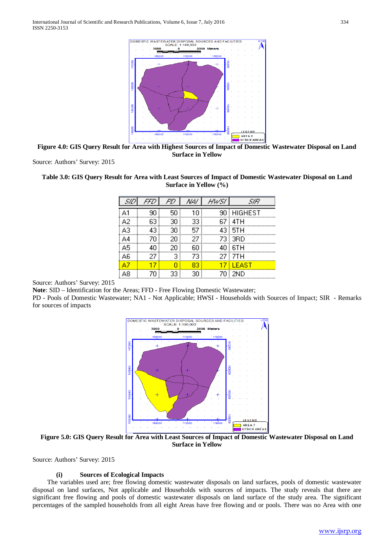

**Figure 4.0: GIS Query Result for Area with Highest Sources of Impact of Domestic Wastewater Disposal on Land Surface in Yellow**

Source: Authors' Survey: 2015

## **Table 3.0: GIS Query Result for Area with Least Sources of Impact of Domestic Wastewater Disposal on Land Surface in Yellow (%)**

| SID | FFD | FD    | NA) | HW SI | SIR        |
|-----|-----|-------|-----|-------|------------|
| A1  | 90  | 50    | 10  |       | 90 HIGHEST |
| A2  | 63  | 30    | 33  |       | 67   4TH   |
| A3  | 43  | 30    | 57  |       | 43 5TH     |
| A4  | 70  | 20    | 27  |       | 73 3RD     |
| A5  | 40  | 20    | 60  |       | 40 STH     |
| A6  | 27. | $-3'$ | 73  |       | 27 7TH     |
| A7  | 17  | n     | 83  |       | 17 ELEAST  |
| А8  | 70  | 33 i  | 30  |       | 70 2ND     |

Source: Authors' Survey: 2015

**Note**: SID – Identification for the Areas; FFD - Free Flowing Domestic Wastewater;

PD - Pools of Domestic Wastewater; NA1 - Not Applicable; HWSI - Households with Sources of Impact; SIR - Remarks for sources of impacts



**Figure 5.0: GIS Query Result for Area with Least Sources of Impact of Domestic Wastewater Disposal on Land Surface in Yellow**

Source: Authors' Survey: 2015

## **(i) Sources of Ecological Impacts**

 The variables used are; free flowing domestic wastewater disposals on land surfaces, pools of domestic wastewater disposal on land surfaces, Not applicable and Households with sources of impacts. The study reveals that there are significant free flowing and pools of domestic wastewater disposals on land surface of the study area. The significant percentages of the sampled households from all eight Areas have free flowing and or pools. There was no Area with one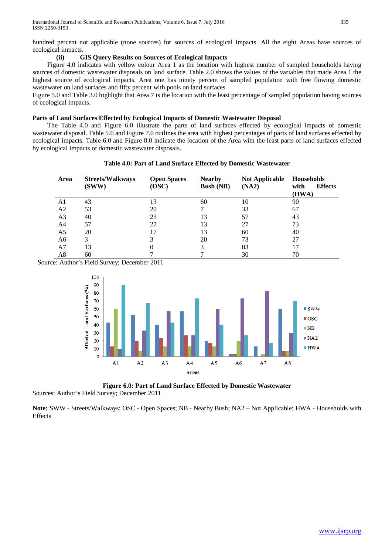hundred percent not applicable (none sources) for sources of ecological impacts. All the eight Areas have sources of ecological impacts.

## **(ii) GIS Query Results on Sources of Ecological Impacts**

 Figure 4.0 indicates with yellow colour Area 1 as the location with highest number of sampled households having sources of domestic wastewater disposals on land surface. Table 2.0 shows the values of the variables that made Area 1 the highest source of ecological impacts. Area one has ninety percent of sampled population with free flowing domestic wastewater on land surfaces and fifty percent with pools on land surfaces

Figure 5.0 and Table 3.0 highlight that Area 7 is the location with the least percentage of sampled population having sources of ecological impacts.

## **Parts of Land Surfaces Effected by Ecological Impacts of Domestic Wastewater Disposal**

 The Table 4.0 and Figure 6.0 illustrate the parts of land surfaces effected by ecological impacts of domestic wastewater disposal. Table 5.0 and Figure 7.0 outlines the area with highest percentages of parts of land surfaces effected by ecological impacts. Table 6.0 and Figure 8.0 indicate the location of the Area with the least parts of land surfaces effected by ecological impacts of domestic wastewater disposals.

|  | Table 4.0: Part of Land Surface Effected by Domestic Wastewater |
|--|-----------------------------------------------------------------|
|--|-----------------------------------------------------------------|

| Area           | <b>Streets/Walkways</b><br>(SWW) | <b>Open Spaces</b><br>(OSC) | <b>Nearby</b><br><b>Bush (NB)</b> | <b>Not Applicable</b><br>(NA2) | <b>Households</b><br>with<br><b>Effects</b><br>(HWA) |
|----------------|----------------------------------|-----------------------------|-----------------------------------|--------------------------------|------------------------------------------------------|
| A1             | 43                               | 13                          | 60                                | 10                             | 90                                                   |
| A <sub>2</sub> | 53                               | 20                          |                                   | 33                             | 67                                                   |
| A <sub>3</sub> | 40                               | 23                          | 13                                | 57                             | 43                                                   |
| A <sub>4</sub> | 57                               | 27                          | 13                                | 27                             | 73                                                   |
| A <sub>5</sub> | 20                               | 17                          | 13                                | 60                             | 40                                                   |
| A6             | 3                                |                             | 20                                | 73                             | 27                                                   |
| A <sub>7</sub> | 13                               |                             | 3                                 | 83                             |                                                      |
| A8             | 60                               |                             |                                   | 30                             | 70                                                   |

Source: Author's Field Survey; December 2011



**Figure 6.0: Part of Land Surface Effected by Domestic Wastewater**

Sources: Author's Field Survey; December 2011

**Note:** SWW - Streets/Walkways; OSC - Open Spaces; NB - Nearby Bush; NA2 – Not Applicable; HWA - Households with Effects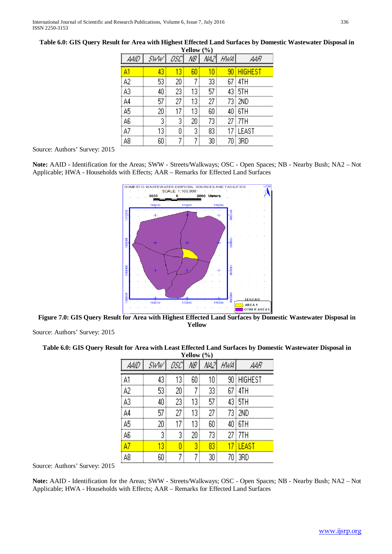| Yellow $(\% )$ |      |     |    |    |     |            |  |  |  |  |  |
|----------------|------|-----|----|----|-----|------------|--|--|--|--|--|
| מועג           | Sww' | asc | NB | ᄴᄼ | HWA | AWR        |  |  |  |  |  |
| A1             | 43   | 13  | 60 | 10 |     | 90 HIGHEST |  |  |  |  |  |
| A2             | 53   | 20  |    | 33 |     | 67 i 4TH   |  |  |  |  |  |
| A3             | 40   | 23  | 13 | 57 |     | 43 i 5TH   |  |  |  |  |  |
| A4             | 57   | 27  | 13 | 27 |     | 73   2ND   |  |  |  |  |  |
| A5             | 20   | 17  | 13 | 60 |     | 40 i 6TH   |  |  |  |  |  |
| A6             | 3    | 3   | 20 | 73 |     | 27 i 7TH   |  |  |  |  |  |
| A7             | 13   | Ω   | 3  | 83 |     | 17 ELEAST  |  |  |  |  |  |
| А8             | 60   |     | 7  | 30 |     | 70 i 3RD   |  |  |  |  |  |

## **Table 6.0: GIS Query Result for Area with Highest Effected Land Surfaces by Domestic Wastewater Disposal in**

Source: Authors' Survey: 2015

**Note:** AAID **-** Identification for the Areas; SWW - Streets/Walkways; OSC - Open Spaces; NB - Nearby Bush; NA2 – Not Applicable; HWA - Households with Effects; AAR – Remarks for Effected Land Surfaces



**Figure 7.0: GIS Query Result for Area with Highest Effected Land Surfaces by Domestic Wastewater Disposal in Yellow**

Source: Authors' Survey: 2015

#### **Table 6.0: GIS Query Result for Area with Least Effected Land Surfaces by Domestic Wastewater Disposal in Yellow (%)**

| AAID | Sww' | asc | NB | /W21 | H₩A | AAR        |  |  |  |  |
|------|------|-----|----|------|-----|------------|--|--|--|--|
| A1   | 43   | 13  | 60 | 10   |     | 90 HIGHEST |  |  |  |  |
| A2   | 53   | 20  |    | 33   |     | 67 i 4TH   |  |  |  |  |
| A3   | 40   | 23  | 13 | 57   |     | 43   5TH   |  |  |  |  |
| A4   | 57   | 27  | 13 | 27   |     | 73   2ND   |  |  |  |  |
| A5   | 20   | 17  | 13 | 60   |     | 40 i 6TH   |  |  |  |  |
| A6   | 3    | 3   | 20 | 73   |     | 27 7TH     |  |  |  |  |
| À7   | 13   | П   | 3  | 83   |     | 17 i Least |  |  |  |  |
| А8   | 60   |     | 7  | 30   |     | 70   3RD   |  |  |  |  |

Source: Authors' Survey: 2015

**Note:** AAID **-** Identification for the Areas; SWW - Streets/Walkways; OSC - Open Spaces; NB - Nearby Bush; NA2 – Not Applicable; HWA - Households with Effects; AAR – Remarks for Effected Land Surfaces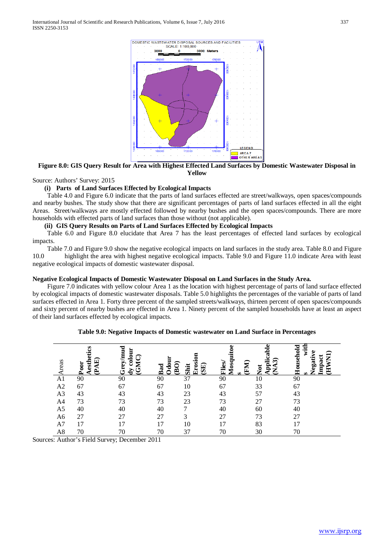

**Figure 8.0: GIS Query Result for Area with Highest Effected Land Surfaces by Domestic Wastewater Disposal in Yellow**

### Source: Authors' Survey: 2015

## **(i) Parts of Land Surfaces Effected by Ecological Impacts**

 Table 4.0 and Figure 6.0 indicate that the parts of land surfaces effected are street/walkways, open spaces/compounds and nearby bushes. The study show that there are significant percentages of parts of land surfaces effected in all the eight Areas. Street/walkways are mostly effected followed by nearby bushes and the open spaces/compounds. There are more households with effected parts of land surfaces than those without (not applicable).

## **(ii) GIS Query Results on Parts of Land Surfaces Effected by Ecological Impacts**

 Table 6.0 and Figure 8.0 elucidate that Area 7 has the least percentages of effected land surfaces by ecological impacts.

 Table 7.0 and Figure 9.0 show the negative ecological impacts on land surfaces in the study area. Table 8.0 and Figure 10.0 highlight the area with highest negative ecological impacts. Table 9.0 and Figure 11.0 indicate Area with least negative ecological impacts of domestic wastewater disposal.

## **Negative Ecological Impacts of Domestic Wastewater Disposal on Land Surfaces in the Study Area.**

 Figure 7.0 indicates with yellow colour Area 1 as the location with highest percentage of parts of land surface effected by ecological impacts of domestic wastewater disposals. Table 5.0 highlights the percentages of the variable of parts of land surfaces effected in Area 1. Forty three percent of the sampled streets/walkways, thirteen percent of open spaces/compounds and sixty percent of nearby bushes are effected in Area 1. Ninety percent of the sampled households have at least an aspect of their land surfaces effected by ecological impacts.

| reas           | S<br>esthe<br>回<br>Poor<br>ല | colour<br>ē<br><b>Greym</b><br><b>CNG</b><br>Ğ | Ddou<br>Bad | Erosi<br>$\mathbf{\widehat{B}}\mathbf{0}$<br>(SE)<br>Shit | O)<br>Mosquit<br>Flies/<br>ω | ω<br>pplical<br>ౚ<br>FM)<br>Jot | Househol<br>Ē<br>Ξ<br>Impact<br>legati |
|----------------|------------------------------|------------------------------------------------|-------------|-----------------------------------------------------------|------------------------------|---------------------------------|----------------------------------------|
| A <sub>1</sub> | 90                           | 90                                             | 90          | 37                                                        | 90                           | 10                              | 90                                     |
| A2             | 67                           | 67                                             | 67          | 10                                                        | 67                           | 33                              | 67                                     |
| A <sub>3</sub> | 43                           | 43                                             | 43          | 23                                                        | 43                           | 57                              | 43                                     |
| A4             | 73                           | 73                                             | 73          | 23                                                        | 73                           | 27                              | 73                                     |
| A5             | 40                           | 40                                             | 40          | $\mathbf{r}$                                              | 40                           | 60                              | 40                                     |
| A <sub>6</sub> | 27                           | 27                                             | 27          | 3                                                         | 27                           | 73                              | 27                                     |
| A7             | 17                           | 17                                             | 17          | 10                                                        | 17                           | 83                              | 17                                     |
| A8             | 70                           | 70                                             | 70          | 37                                                        | 70                           | 30                              | 70                                     |

#### **Table 9.0: Negative Impacts of Domestic wastewater on Land Surface in Percentages**

Sources: Author's Field Survey; December 2011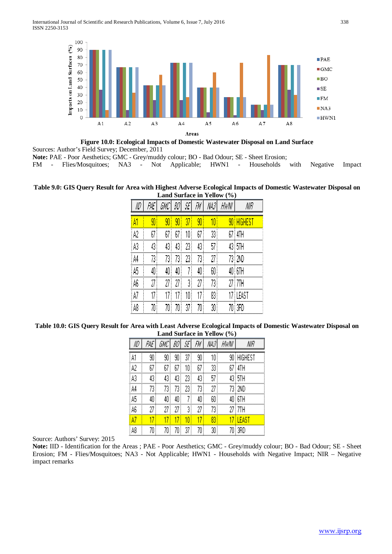

**Figure 10.0: Ecological Impacts of Domestic Wastewater Disposal on Land Surface**

Sources: Author's Field Survey; December, 2011

**Note: PAE - Poor Aesthetics; GMC - Grey/muddy colour; BO - Bad Odour; SE - Sheet Erosion; FM - Flies/Mosquitoes; NA3 - Not Applicable; HWN1 - Households** 

FM - Flies/Mosquitoes; NA3 - Not Applicable; HWN1 - Households with Negative Impact

## **Table 9.0: GIS Query Result for Area with Highest Adverse Ecological Impacts of Domestic Wastewater Disposal on Land Surface in Yellow (%)**

|      |    | GMC  | BO\  | -SE  | FM   | 煳    | HWNI | NIR        |
|------|----|------|------|------|------|------|------|------------|
| A    | 90 | 90   | 90 ! | 37   | 90   | 10   |      | 90 HIGHEST |
| A2   | 67 | 67 ! | 67   | 10 ! | 67   | 33 ! |      | 67 I 4TH   |
| A3   | 43 | 43   | 43   | 23   | 43   | 57   |      | 43 STH     |
| A4   | 73 | 73!  | 73!  | 23 ! | 73)  | 27   |      | 73 RND     |
| i A5 | 40 | 40   | 40 ! |      | 40 ! | 60   |      | $40\,$ GTH |
| A6   | 27 | 27 ! | 27 ! | 31   | 27   | 73.  |      | 27   7TH   |
| A7   | 17 | 17   | 17   | 10   | 17)  | 83   |      | 17 i least |
| A8   | 70 | 70 ! | 70 ! | 37   | 70 : | 30   |      | 70 I 3RD   |

**Table 10.0: GIS Query Result for Area with Least Adverse Ecological Impacts of Domestic Wastewater Disposal on Land Surface in Yellow (%)**

|    | ΡÆ | GMC  | BO   | SE'  | FM   | NA3             | HWNI | NIR          |
|----|----|------|------|------|------|-----------------|------|--------------|
| A1 | 90 | 90   | 90   | 37   | 90   | 10              |      | 90 HIGHEST   |
| A2 | 67 | 67   | 67   | 10   | 67   | 33              |      | 67 i 4TH     |
| A3 | 43 | 43   | 43   | 23 ! | 43   | 57              |      | 43 i 5TH     |
| A4 | 73 | 73!  | 73!  | 23   | 73   | 27              |      | 73 i 2ND     |
| A5 | 40 | 40 ! | 40 ! |      | 40   | 60              |      | 40 i 6TH     |
| A6 | 27 | 27   | 27   | 3    | 27.  | 73!             |      | 27 i 7TH     |
| À7 | 17 |      |      | 1N i |      | $\overline{83}$ |      | <b>LEAST</b> |
| A8 | 70 | 70 ! | 70 ! | 37 ! | 70 ! | 30 !            |      | 70   3RD     |

Source: Authors' Survey: 2015

**Note:** IID - Identification for the Areas ; PAE - Poor Aesthetics; GMC - Grey/muddy colour; BO - Bad Odour; SE - Sheet Erosion; FM - Flies/Mosquitoes; NA3 - Not Applicable; HWN1 - Households with Negative Impact; NIR – Negative impact remarks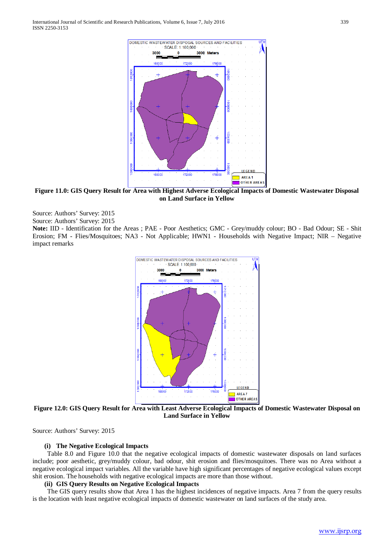

**Figure 11.0: GIS Query Result for Area with Highest Adverse Ecological Impacts of Domestic Wastewater Disposal on Land Surface in Yellow**

Source: Authors' Survey: 2015 Source: Authors' Survey: 2015

**Note:** IID - Identification for the Areas ; PAE - Poor Aesthetics; GMC - Grey/muddy colour; BO - Bad Odour; SE - Shit Erosion; FM - Flies/Mosquitoes; NA3 - Not Applicable; HWN1 - Households with Negative Impact; NIR – Negative impact remarks



**Figure 12.0: GIS Query Result for Area with Least Adverse Ecological Impacts of Domestic Wastewater Disposal on Land Surface in Yellow**

Source: Authors' Survey: 2015

#### **(i) The Negative Ecological Impacts**

 Table 8.0 and Figure 10.0 that the negative ecological impacts of domestic wastewater disposals on land surfaces include; poor aesthetic, grey/muddy colour, bad odour, shit erosion and flies/mosquitoes. There was no Area without a negative ecological impact variables. All the variable have high significant percentages of negative ecological values except shit erosion. The households with negative ecological impacts are more than those without.

#### **(ii) GIS Query Results on Negative Ecological Impacts**

 The GIS query results show that Area 1 has the highest incidences of negative impacts. Area 7 from the query results is the location with least negative ecological impacts of domestic wastewater on land surfaces of the study area.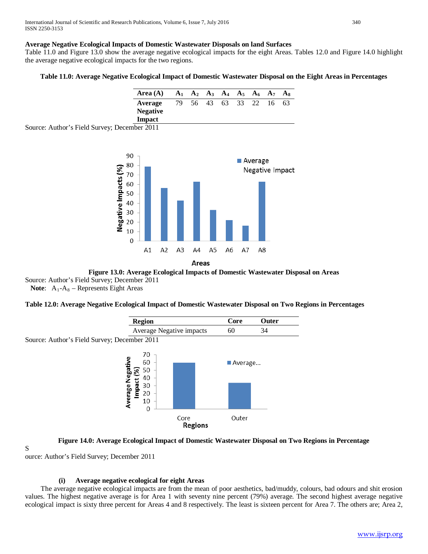## **Average Negative Ecological Impacts of Domestic Wastewater Disposals on land Surfaces**

Table 11.0 and Figure 13.0 show the average negative ecological impacts for the eight Areas. Tables 12.0 and Figure 14.0 highlight the average negative ecological impacts for the two regions.

### **Table 11.0: Average Negative Ecological Impact of Domestic Wastewater Disposal on the Eight Areas in Percentages**



Source: Author's Field Survey; December 2011





Source: Author's Field Survey; December 2011 **Note:**  $A_1 - A_8$  – Represents Eight Areas

## **Table 12.0: Average Negative Ecological Impact of Domestic Wastewater Disposal on Two Regions in Percentages**



### **Figure 14.0: Average Ecological Impact of Domestic Wastewater Disposal on Two Regions in Percentage**

S

ource: Author's Field Survey; December 2011

### **(i) Average negative ecological for eight Areas**

 The average negative ecological impacts are from the mean of poor aesthetics, bad/muddy, colours, bad odours and shit erosion values. The highest negative average is for Area 1 with seventy nine percent (79%) average. The second highest average negative ecological impact is sixty three percent for Areas 4 and 8 respectively. The least is sixteen percent for Area 7. The others are; Area 2,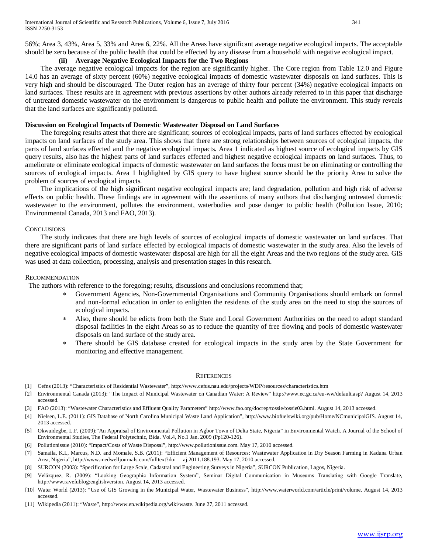56%; Area 3, 43%, Area 5, 33% and Area 6, 22%. All the Areas have significant average negative ecological impacts. The acceptable should be zero because of the public health that could be effected by any disease from a household with negative ecological impact.

## **(ii) Average Negative Ecological Impacts for the Two Regions**

 The average negative ecological impacts for the region are significantly higher. The Core region from Table 12.0 and Figure 14.0 has an average of sixty percent (60%) negative ecological impacts of domestic wastewater disposals on land surfaces. This is very high and should be discouraged. The Outer region has an average of thirty four percent (34%) negative ecological impacts on land surfaces. These results are in agreement with previous assertions by other authors already referred to in this paper that discharge of untreated domestic wastewater on the environment is dangerous to public health and pollute the environment. This study reveals that the land surfaces are significantly polluted.

## **Discussion on Ecological Impacts of Domestic Wastewater Disposal on Land Surfaces**

 The foregoing results attest that there are significant; sources of ecological impacts, parts of land surfaces effected by ecological impacts on land surfaces of the study area. This shows that there are strong relationships between sources of ecological impacts, the parts of land surfaces effected and the negative ecological impacts. Area 1 indicated as highest source of ecological impacts by GIS query results, also has the highest parts of land surfaces effected and highest negative ecological impacts on land surfaces. Thus, to ameliorate or eliminate ecological impacts of domestic wastewater on land surfaces the focus must be on eliminating or controlling the sources of ecological impacts. Area 1 highlighted by GIS query to have highest source should be the priority Area to solve the problem of sources of ecological impacts.

 The implications of the high significant negative ecological impacts are; land degradation, pollution and high risk of adverse effects on public health. These findings are in agreement with the assertions of many authors that discharging untreated domestic wastewater to the environment, pollutes the environment, waterbodies and pose danger to public health (Pollution Issue, 2010; Environmental Canada, 2013 and FAO, 2013).

### **CONCLUSIONS**

 The study indicates that there are high levels of sources of ecological impacts of domestic wastewater on land surfaces. That there are significant parts of land surface effected by ecological impacts of domestic wastewater in the study area. Also the levels of negative ecological impacts of domestic wastewater disposal are high for all the eight Areas and the two regions of the study area. GIS was used at data collection, processing, analysis and presentation stages in this research.

## RECOMMENDATION

The authors with reference to the foregoing; results, discussions and conclusions recommend that;

- Government Agencies, Non-Governmental Organisations and Community Organisations should embark on formal and non-formal education in order to enlighten the residents of the study area on the need to stop the sources of ecological impacts.
- ∗ Also, there should be edicts from both the State and Local Government Authorities on the need to adopt standard disposal facilities in the eight Areas so as to reduce the quantity of free flowing and pools of domestic wastewater disposals on land surface of the study area.
- There should be GIS database created for ecological impacts in the study area by the State Government for monitoring and effective management.

### **REFERENCES**

- [1] Cefns (2013): "Characteristics of Residential Wastewater", http://www.cefus.nau.edu/projects/WDP/resources/characteristics.htm
- [2] Environmental Canada (2013): "The Impact of Municipal Wastewater on Canadian Water: A Review" http://www.ec.gc.ca/eu-ww/default.asp? August 14, 2013 accessed.
- [3] FAO (2013): "Wastewater Characteristics and Effluent Quality Parameters" http://www.fao.org/docrep/tossie/tossie03.html. August 14, 2013 accessed.
- [4] Nielsen, L.E. (2011): GIS Database of North Carolina Municipal Waste Land Application", http://www.biofuelswiki.org/pub/Home/NCmunicipalGIS. August 14, 2013 accessed.
- [5] Okwuidegbe, L.F. (2009):"An Appraisal of Environmental Pollution in Agbor Town of Delta State, Nigeria" in Environmental Watch. A Journal of the School of Environmental Studies, The Federal Polytechnic, Bida. Vol.4, No.1 Jan. 2009 (Pp120-126).
- [6] Pollutionissue (2010): "Impact/Costs of Waste Disposal", http://www.pollutionissue.com. May 17, 2010 accessed.
- [7] Samaila, K.I., Marcus, N.D. and Momale, S.B. (2011): "Efficient Management of Resources: Wastewater Application in Dry Season Farming in Kaduna Urban Area, Nigeria", http://www.medwelljournals.com/fulltext?doi =aj.2011.188.193. May 17, 2010 accessed.
- [8] SURCON (2003): "Specification for Large Scale, Cadastral and Engineering Surveys in Nigeria", SURCON Publication, Lagos, Nigeria.
- [9] Velăzquez, R. (2009): "Looking Geographic Information System", Seminar Digital Communication in Museums Translating with Google Translate, http://www.ravefublog:englishversion. August 14, 2013 accessed.
- [10] Water World (2013): "Use of GIS Growing in the Municipal Water, Wastewater Business", http://www.waterworld.com/article/print/volume. August 14, 2013 accessed.
- [11] Wikipedia (2011): "Waste", http://www.en.wikipedia.org/wiki/waste. June 27, 2011 accessed.